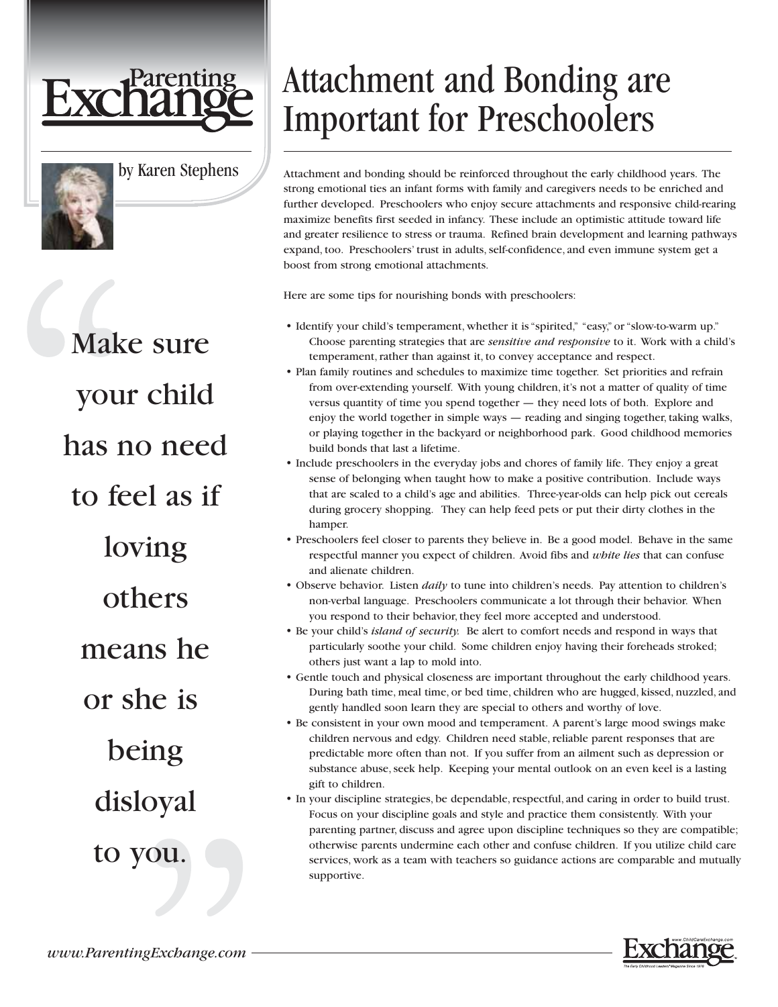



by Karen Stephens

Make sure your child has no need to feel as if loving others means he or she is being disloyal to you.

## Attachment and Bonding are Important for Preschoolers

Attachment and bonding should be reinforced throughout the early childhood years. The strong emotional ties an infant forms with family and caregivers needs to be enriched and further developed. Preschoolers who enjoy secure attachments and responsive child-rearing maximize benefits first seeded in infancy. These include an optimistic attitude toward life and greater resilience to stress or trauma. Refined brain development and learning pathways expand, too. Preschoolers' trust in adults, self-confidence, and even immune system get a boost from strong emotional attachments.

Here are some tips for nourishing bonds with preschoolers:

- Identify your child's temperament, whether it is "spirited," "easy," or "slow-to-warm up." Choose parenting strategies that are *sensitive and responsive* to it. Work with a child's temperament, rather than against it, to convey acceptance and respect.
- Plan family routines and schedules to maximize time together. Set priorities and refrain from over-extending yourself. With young children, it's not a matter of quality of time versus quantity of time you spend together — they need lots of both. Explore and enjoy the world together in simple ways — reading and singing together, taking walks, or playing together in the backyard or neighborhood park. Good childhood memories build bonds that last a lifetime.
- Include preschoolers in the everyday jobs and chores of family life. They enjoy a great sense of belonging when taught how to make a positive contribution. Include ways that are scaled to a child's age and abilities. Three-year-olds can help pick out cereals during grocery shopping. They can help feed pets or put their dirty clothes in the hamper.
- Preschoolers feel closer to parents they believe in. Be a good model. Behave in the same respectful manner you expect of children. Avoid fibs and *white lies* that can confuse and alienate children.
- Observe behavior. Listen *daily* to tune into children's needs. Pay attention to children's non-verbal language. Preschoolers communicate a lot through their behavior. When you respond to their behavior, they feel more accepted and understood.
- Be your child's *island of security.* Be alert to comfort needs and respond in ways that particularly soothe your child. Some children enjoy having their foreheads stroked; others just want a lap to mold into.
- Gentle touch and physical closeness are important throughout the early childhood years. During bath time, meal time, or bed time, children who are hugged, kissed, nuzzled, and gently handled soon learn they are special to others and worthy of love.
- Be consistent in your own mood and temperament. A parent's large mood swings make children nervous and edgy. Children need stable, reliable parent responses that are predictable more often than not. If you suffer from an ailment such as depression or substance abuse, seek help. Keeping your mental outlook on an even keel is a lasting gift to children.

• In your discipline strategies, be dependable, respectful, and caring in order to build trust. Focus on your discipline goals and style and practice them consistently. With your parenting partner, discuss and agree upon discipline techniques so they are compatible; otherwise parents undermine each other and confuse children. If you utilize child care services, work as a team with teachers so guidance actions are comparable and mutually supportive.